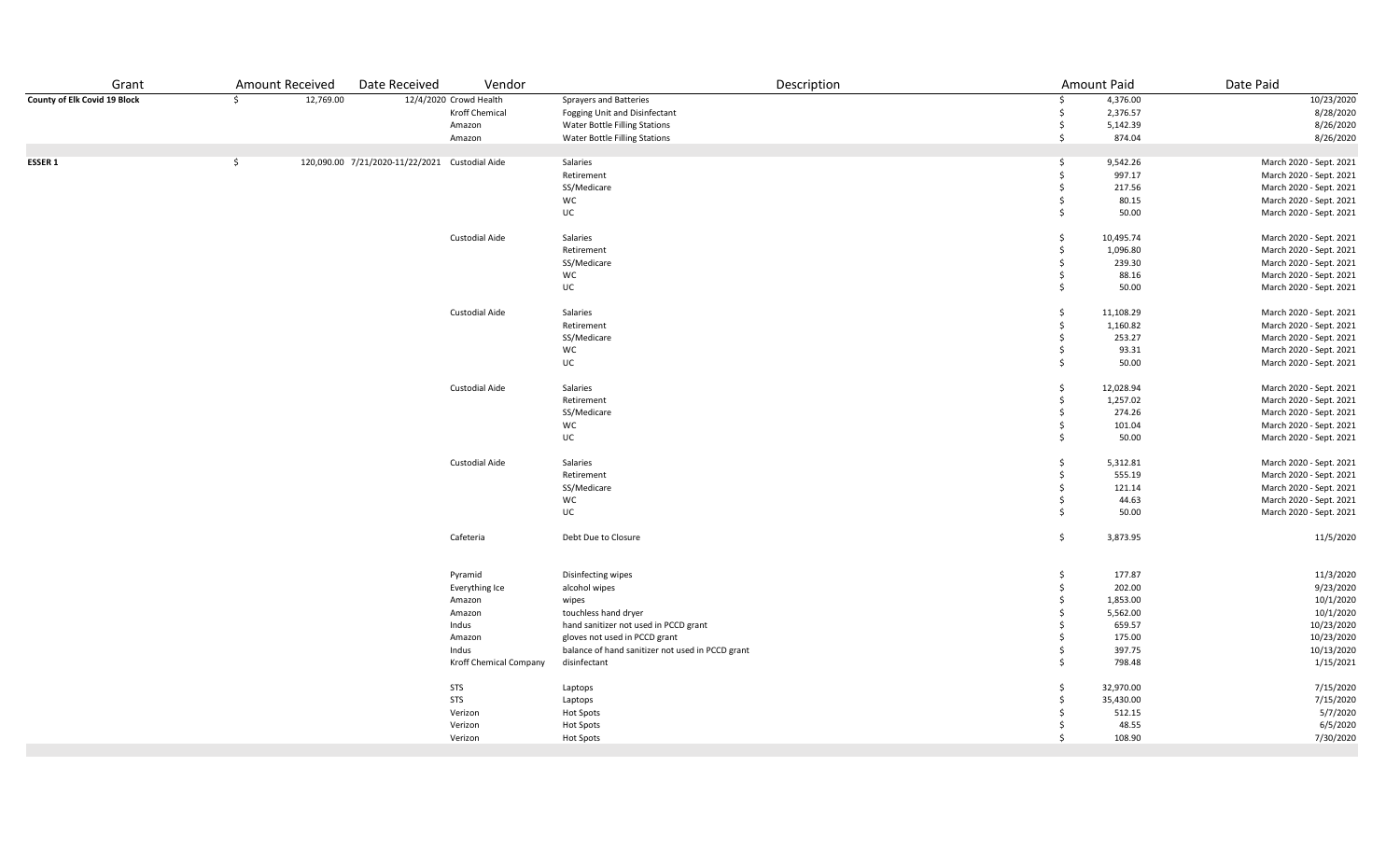| Grant<br><b>Amount Received</b>                                  | Date Received<br>Vendor                        | Description                                      |     | Amount Paid | Date Paid               |
|------------------------------------------------------------------|------------------------------------------------|--------------------------------------------------|-----|-------------|-------------------------|
| County of Elk Covid 19 Block<br>$\ddot{\mathsf{S}}$<br>12,769.00 | 12/4/2020 Crowd Health                         | <b>Sprayers and Batteries</b>                    | \$  | 4,376.00    | 10/23/2020              |
|                                                                  | Kroff Chemical                                 | Fogging Unit and Disinfectant                    | Ś.  | 2,376.57    | 8/28/2020               |
|                                                                  | Amazon                                         | Water Bottle Filling Stations                    | \$  | 5,142.39    | 8/26/2020               |
|                                                                  | Amazon                                         | <b>Water Bottle Filling Stations</b>             | \$  | 874.04      | 8/26/2020               |
|                                                                  |                                                |                                                  |     |             |                         |
| \$<br>ESSER 1                                                    | 120,090.00 7/21/2020-11/22/2021 Custodial Aide | Salaries                                         | \$  | 9,542.26    | March 2020 - Sept. 2021 |
|                                                                  |                                                | Retirement                                       | Ś   | 997.17      | March 2020 - Sept. 2021 |
|                                                                  |                                                | SS/Medicare                                      | \$. | 217.56      | March 2020 - Sept. 2021 |
|                                                                  |                                                | <b>WC</b>                                        | \$  | 80.15       | March 2020 - Sept. 2021 |
|                                                                  |                                                | UC                                               | Ŝ.  | 50.00       | March 2020 - Sept. 2021 |
|                                                                  | Custodial Aide                                 | Salaries                                         | \$  | 10,495.74   | March 2020 - Sept. 2021 |
|                                                                  |                                                | Retirement                                       | \$  | 1,096.80    | March 2020 - Sept. 2021 |
|                                                                  |                                                | SS/Medicare                                      | \$  | 239.30      | March 2020 - Sept. 2021 |
|                                                                  |                                                | WC                                               | Ŝ.  | 88.16       | March 2020 - Sept. 2021 |
|                                                                  |                                                | UC                                               | Ŝ.  | 50.00       | March 2020 - Sept. 2021 |
|                                                                  |                                                |                                                  |     |             |                         |
|                                                                  | <b>Custodial Aide</b>                          | Salaries                                         | \$  | 11,108.29   | March 2020 - Sept. 2021 |
|                                                                  |                                                | Retirement                                       | \$  | 1,160.82    | March 2020 - Sept. 2021 |
|                                                                  |                                                | SS/Medicare                                      | \$  | 253.27      | March 2020 - Sept. 2021 |
|                                                                  |                                                | WC                                               | \$  | 93.31       | March 2020 - Sept. 2021 |
|                                                                  |                                                | UC                                               | \$  | 50.00       | March 2020 - Sept. 2021 |
|                                                                  | Custodial Aide                                 | Salaries                                         | \$  | 12,028.94   | March 2020 - Sept. 2021 |
|                                                                  |                                                | Retirement                                       | Ŝ.  | 1,257.02    | March 2020 - Sept. 2021 |
|                                                                  |                                                | SS/Medicare                                      | \$  | 274.26      | March 2020 - Sept. 2021 |
|                                                                  |                                                | WC                                               | \$  | 101.04      | March 2020 - Sept. 2021 |
|                                                                  |                                                | UC                                               | Ŝ.  | 50.00       | March 2020 - Sept. 2021 |
|                                                                  |                                                |                                                  |     |             |                         |
|                                                                  | Custodial Aide                                 | Salaries                                         | Ŝ.  | 5,312.81    | March 2020 - Sept. 2021 |
|                                                                  |                                                | Retirement                                       | \$  | 555.19      | March 2020 - Sept. 2021 |
|                                                                  |                                                | SS/Medicare                                      | \$  | 121.14      | March 2020 - Sept. 2021 |
|                                                                  |                                                | WC                                               | \$  | 44.63       | March 2020 - Sept. 2021 |
|                                                                  |                                                | UC                                               | Ŝ.  | 50.00       | March 2020 - Sept. 2021 |
|                                                                  | Cafeteria                                      | Debt Due to Closure                              | Ś.  | 3,873.95    | 11/5/2020               |
|                                                                  |                                                |                                                  |     |             |                         |
|                                                                  | Pyramid                                        | Disinfecting wipes                               | \$  | 177.87      | 11/3/2020               |
|                                                                  | Everything Ice                                 | alcohol wipes                                    | \$  | 202.00      | 9/23/2020               |
|                                                                  | Amazon                                         | wipes                                            | \$  | 1,853.00    | 10/1/2020               |
|                                                                  | Amazon                                         | touchless hand dryer                             | \$. | 5,562.00    | 10/1/2020               |
|                                                                  | Indus                                          | hand sanitizer not used in PCCD grant            | \$  | 659.57      | 10/23/2020              |
|                                                                  | Amazon                                         | gloves not used in PCCD grant                    | \$  | 175.00      | 10/23/2020              |
|                                                                  | Indus                                          | balance of hand sanitizer not used in PCCD grant | Ś   | 397.75      | 10/13/2020              |
|                                                                  | Kroff Chemical Company                         | disinfectant                                     | \$  | 798.48      | 1/15/2021               |
|                                                                  | <b>STS</b>                                     | Laptops                                          | \$  | 32,970.00   | 7/15/2020               |
|                                                                  | <b>STS</b>                                     | Laptops                                          | \$. | 35,430.00   | 7/15/2020               |
|                                                                  | Verizon                                        |                                                  | Ŝ   | 512.15      | 5/7/2020                |
|                                                                  | Verizon                                        | Hot Spots                                        |     | 48.55       |                         |
|                                                                  |                                                | <b>Hot Spots</b>                                 | \$  |             | 6/5/2020                |
|                                                                  | Verizon                                        | <b>Hot Spots</b>                                 |     | 108.90      | 7/30/2020               |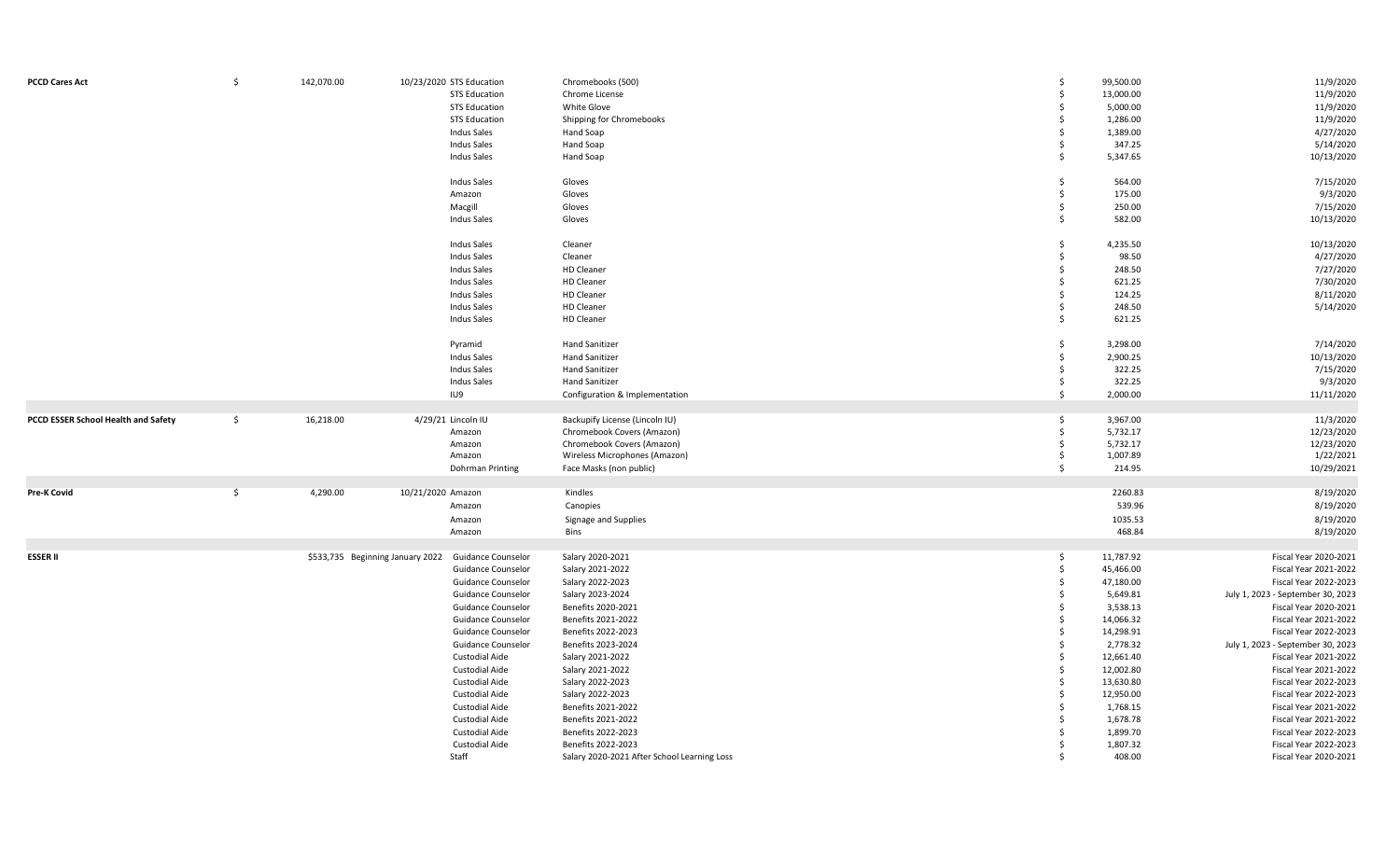| <b>PCCD Cares Act</b>               | Ŝ.            | 142,070.00 | 10/23/2020 STS Education<br><b>STS Education</b><br><b>STS Education</b> | Chromebooks (500)<br>Chrome License<br>White Glove | \$<br>\$<br>$\mathsf{\$}$ | 99,500.00<br>13,000.00<br>5,000.00 | 11/9/2020<br>11/9/2020<br>11/9/2020                               |
|-------------------------------------|---------------|------------|--------------------------------------------------------------------------|----------------------------------------------------|---------------------------|------------------------------------|-------------------------------------------------------------------|
|                                     |               |            | <b>STS Education</b>                                                     | Shipping for Chromebooks                           | \$                        | 1,286.00                           | 11/9/2020                                                         |
|                                     |               |            | Indus Sales                                                              | Hand Soap                                          | \$                        | 1,389.00                           | 4/27/2020                                                         |
|                                     |               |            | Indus Sales                                                              | Hand Soap                                          | \$                        | 347.25                             | 5/14/2020                                                         |
|                                     |               |            | Indus Sales                                                              | Hand Soap                                          | \$                        | 5,347.65                           | 10/13/2020                                                        |
|                                     |               |            | <b>Indus Sales</b>                                                       | Gloves                                             | \$                        | 564.00                             | 7/15/2020                                                         |
|                                     |               |            | Amazon                                                                   | Gloves                                             | \$                        | 175.00                             | 9/3/2020                                                          |
|                                     |               |            | Macgill                                                                  | Gloves                                             | \$                        | 250.00                             | 7/15/2020                                                         |
|                                     |               |            | <b>Indus Sales</b>                                                       | Gloves                                             | \$                        | 582.00                             | 10/13/2020                                                        |
|                                     |               |            |                                                                          |                                                    |                           |                                    |                                                                   |
|                                     |               |            | <b>Indus Sales</b>                                                       | Cleaner                                            | \$                        | 4,235.50                           | 10/13/2020                                                        |
|                                     |               |            | <b>Indus Sales</b>                                                       | Cleaner                                            | \$                        | 98.50                              | 4/27/2020                                                         |
|                                     |               |            | Indus Sales                                                              | HD Cleaner                                         | \$                        | 248.50                             | 7/27/2020                                                         |
|                                     |               |            | Indus Sales                                                              | <b>HD Cleaner</b>                                  | \$                        | 621.25                             | 7/30/2020                                                         |
|                                     |               |            | <b>Indus Sales</b>                                                       | <b>HD Cleaner</b>                                  | Ŝ.                        | 124.25                             | 8/11/2020                                                         |
|                                     |               |            | <b>Indus Sales</b>                                                       | HD Cleaner                                         | \$                        | 248.50                             | 5/14/2020                                                         |
|                                     |               |            | <b>Indus Sales</b>                                                       | HD Cleaner                                         | \$                        | 621.25                             |                                                                   |
|                                     |               |            | Pyramid                                                                  | <b>Hand Sanitizer</b>                              | \$                        | 3,298.00                           | 7/14/2020                                                         |
|                                     |               |            | <b>Indus Sales</b>                                                       | <b>Hand Sanitizer</b>                              | \$                        | 2,900.25                           | 10/13/2020                                                        |
|                                     |               |            | <b>Indus Sales</b>                                                       | <b>Hand Sanitizer</b>                              | \$                        | 322.25                             | 7/15/2020                                                         |
|                                     |               |            | <b>Indus Sales</b>                                                       | <b>Hand Sanitizer</b>                              | \$                        | 322.25                             | 9/3/2020                                                          |
|                                     |               |            | IU9                                                                      | Configuration & Implementation                     | \$                        | 2,000.00                           | 11/11/2020                                                        |
|                                     |               |            |                                                                          |                                                    |                           |                                    |                                                                   |
| PCCD ESSER School Health and Safety | $\frac{1}{2}$ | 16,218.00  | 4/29/21 Lincoln IU                                                       | Backupify License (Lincoln IU)                     | \$                        | 3,967.00                           | 11/3/2020                                                         |
|                                     |               |            | Amazon                                                                   | Chromebook Covers (Amazon)                         | \$                        | 5,732.17                           | 12/23/2020                                                        |
|                                     |               |            | Amazon                                                                   | Chromebook Covers (Amazon)                         | \$                        | 5,732.17                           | 12/23/2020                                                        |
|                                     |               |            | Amazon                                                                   | Wireless Microphones (Amazon)                      | \$                        | 1,007.89                           | 1/22/2021                                                         |
|                                     |               |            | Dohrman Printing                                                         | Face Masks (non public)                            | \$                        | 214.95                             | 10/29/2021                                                        |
|                                     |               |            |                                                                          |                                                    |                           |                                    |                                                                   |
| <b>Pre-K Covid</b>                  | \$            | 4,290.00   | 10/21/2020 Amazon                                                        | Kindles                                            |                           | 2260.83                            | 8/19/2020                                                         |
|                                     |               |            | Amazon                                                                   | Canopies                                           |                           | 539.96                             | 8/19/2020                                                         |
|                                     |               |            | Amazon                                                                   | Signage and Supplies                               |                           | 1035.53                            | 8/19/2020                                                         |
|                                     |               |            | Amazon                                                                   | <b>Bins</b>                                        |                           | 468.84                             | 8/19/2020                                                         |
| <b>ESSER II</b>                     |               |            | \$533,735 Beginning January 2022<br><b>Guidance Counselor</b>            | Salary 2020-2021                                   | \$                        | 11,787.92                          | Fiscal Year 2020-2021                                             |
|                                     |               |            | <b>Guidance Counselor</b>                                                | Salary 2021-2022                                   | \$                        | 45,466.00                          | Fiscal Year 2021-2022                                             |
|                                     |               |            | <b>Guidance Counselor</b>                                                | Salary 2022-2023                                   | \$                        | 47,180.00                          | Fiscal Year 2022-2023                                             |
|                                     |               |            | <b>Guidance Counselor</b>                                                | Salary 2023-2024                                   | Ŝ.                        | 5,649.81                           | July 1, 2023 - September 30, 2023                                 |
|                                     |               |            | Guidance Counselor                                                       | Benefits 2020-2021                                 | Ŝ.                        | 3,538.13                           | Fiscal Year 2020-2021                                             |
|                                     |               |            | Guidance Counselor                                                       | Benefits 2021-2022                                 | \$                        | 14,066.32                          | Fiscal Year 2021-2022                                             |
|                                     |               |            |                                                                          | Benefits 2022-2023                                 | Ŝ.                        |                                    |                                                                   |
|                                     |               |            | Guidance Counselor                                                       |                                                    | \$                        | 14,298.91                          | Fiscal Year 2022-2023                                             |
|                                     |               |            | <b>Guidance Counselor</b><br><b>Custodial Aide</b>                       | Benefits 2023-2024<br>Salary 2021-2022             | Ŝ.                        | 2,778.32                           | July 1, 2023 - September 30, 2023<br><b>Fiscal Year 2021-2022</b> |
|                                     |               |            |                                                                          |                                                    | Ś.                        | 12,661.40                          |                                                                   |
|                                     |               |            | <b>Custodial Aide</b>                                                    | Salary 2021-2022                                   | \$                        | 12,002.80                          | Fiscal Year 2021-2022                                             |
|                                     |               |            | <b>Custodial Aide</b>                                                    | Salary 2022-2023                                   |                           | 13,630.80                          | Fiscal Year 2022-2023                                             |
|                                     |               |            | Custodial Aide                                                           | Salary 2022-2023                                   | Ś.                        | 12,950.00                          | Fiscal Year 2022-2023                                             |
|                                     |               |            | Custodial Aide                                                           | Benefits 2021-2022                                 | Ŝ.                        | 1,768.15                           | Fiscal Year 2021-2022                                             |
|                                     |               |            | <b>Custodial Aide</b>                                                    | Benefits 2021-2022                                 | Ś                         | 1,678.78                           | Fiscal Year 2021-2022                                             |
|                                     |               |            | Custodial Aide                                                           | Benefits 2022-2023                                 | Ŝ.                        | 1,899.70                           | Fiscal Year 2022-2023                                             |
|                                     |               |            | Custodial Aide                                                           | Benefits 2022-2023                                 | Ŝ.                        | 1,807.32                           | Fiscal Year 2022-2023                                             |
|                                     |               |            | Staff                                                                    | Salary 2020-2021 After School Learning Loss        | Ś.                        | 408.00                             | Fiscal Year 2020-2021                                             |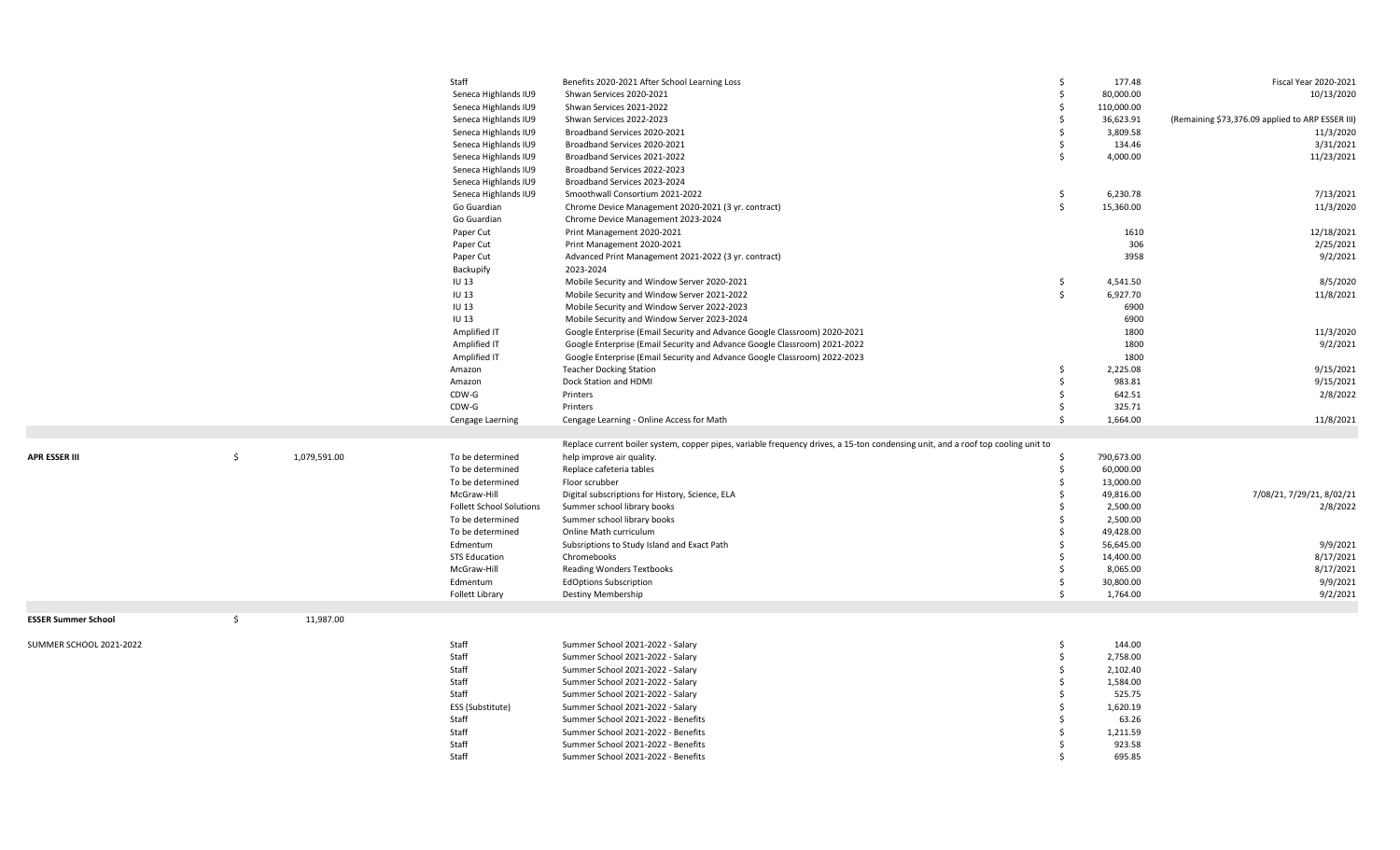|                            |              |              | Staff                           | Benefits 2020-2021 After School Learning Loss                                                                                    | \$                 | 177.48                | Fiscal Year 2020-2021                            |
|----------------------------|--------------|--------------|---------------------------------|----------------------------------------------------------------------------------------------------------------------------------|--------------------|-----------------------|--------------------------------------------------|
|                            |              |              | Seneca Highlands IU9            | Shwan Services 2020-2021                                                                                                         | \$                 | 80,000.00             | 10/13/2020                                       |
|                            |              |              | Seneca Highlands IU9            | Shwan Services 2021-2022                                                                                                         | Ŝ.                 | 110,000.00            |                                                  |
|                            |              |              | Seneca Highlands IU9            | Shwan Services 2022-2023                                                                                                         | \$                 | 36,623.91             | (Remaining \$73,376.09 applied to ARP ESSER III) |
|                            |              |              | Seneca Highlands IU9            | Broadband Services 2020-2021                                                                                                     | $\mathsf{\$}$      | 3,809.58              | 11/3/2020                                        |
|                            |              |              | Seneca Highlands IU9            | Broadband Services 2020-2021                                                                                                     | Ŝ.                 | 134.46                | 3/31/2021                                        |
|                            |              |              | Seneca Highlands IU9            | Broadband Services 2021-2022                                                                                                     | $\mathsf{\dot{S}}$ | 4,000.00              | 11/23/2021                                       |
|                            |              |              | Seneca Highlands IU9            | Broadband Services 2022-2023                                                                                                     |                    |                       |                                                  |
|                            |              |              | Seneca Highlands IU9            | Broadband Services 2023-2024                                                                                                     |                    |                       |                                                  |
|                            |              |              | Seneca Highlands IU9            | Smoothwall Consortium 2021-2022                                                                                                  | \$                 | 6,230.78              | 7/13/2021                                        |
|                            |              |              | Go Guardian                     | Chrome Device Management 2020-2021 (3 yr. contract)                                                                              | \$                 | 15,360.00             | 11/3/2020                                        |
|                            |              |              | Go Guardian                     | Chrome Device Management 2023-2024                                                                                               |                    |                       |                                                  |
|                            |              |              | Paper Cut                       | Print Management 2020-2021                                                                                                       |                    | 1610                  | 12/18/2021                                       |
|                            |              |              | Paper Cut                       | Print Management 2020-2021                                                                                                       |                    | 306                   | 2/25/2021                                        |
|                            |              |              | Paper Cut                       | Advanced Print Management 2021-2022 (3 yr. contract)                                                                             |                    | 3958                  | 9/2/2021                                         |
|                            |              |              | Backupify                       | 2023-2024                                                                                                                        |                    |                       |                                                  |
|                            |              |              | <b>IU 13</b>                    | Mobile Security and Window Server 2020-2021                                                                                      | S.                 | 4,541.50              | 8/5/2020                                         |
|                            |              |              | <b>IU13</b>                     | Mobile Security and Window Server 2021-2022                                                                                      | \$                 | 6,927.70              | 11/8/2021                                        |
|                            |              |              | <b>IU13</b>                     | Mobile Security and Window Server 2022-2023                                                                                      |                    | 6900                  |                                                  |
|                            |              |              | <b>IU13</b>                     | Mobile Security and Window Server 2023-2024                                                                                      |                    | 6900                  |                                                  |
|                            |              |              | Amplified IT                    | Google Enterprise (Email Security and Advance Google Classroom) 2020-2021                                                        |                    | 1800                  | 11/3/2020                                        |
|                            |              |              | Amplified IT                    | Google Enterprise (Email Security and Advance Google Classroom) 2021-2022                                                        |                    | 1800                  | 9/2/2021                                         |
|                            |              |              | Amplified IT                    | Google Enterprise (Email Security and Advance Google Classroom) 2022-2023                                                        |                    | 1800                  |                                                  |
|                            |              |              | Amazon                          | <b>Teacher Docking Station</b>                                                                                                   | Ŝ.                 | 2,225.08              | 9/15/2021                                        |
|                            |              |              | Amazon                          | Dock Station and HDMI                                                                                                            | \$                 | 983.81                | 9/15/2021                                        |
|                            |              |              | CDW-G                           | Printers                                                                                                                         | \$                 | 642.51                | 2/8/2022                                         |
|                            |              |              | CDW-G                           | Printers                                                                                                                         | \$                 | 325.71                |                                                  |
|                            |              |              | Cengage Laerning                | Cengage Learning - Online Access for Math                                                                                        | \$                 | 1,664.00              | 11/8/2021                                        |
|                            |              |              |                                 |                                                                                                                                  |                    |                       |                                                  |
|                            |              |              |                                 | Replace current boiler system, copper pipes, variable frequency drives, a 15-ton condensing unit, and a roof top cooling unit to |                    |                       |                                                  |
| <b>APR ESSER III</b>       | \$           | 1,079,591.00 | To be determined                | help improve air quality.                                                                                                        | Ŝ.                 | 790,673.00            |                                                  |
|                            |              |              | To be determined                | Replace cafeteria tables                                                                                                         | \$                 | 60,000.00             |                                                  |
|                            |              |              | To be determined                | Floor scrubber                                                                                                                   | $\dot{\mathsf{s}}$ | 13,000.00             |                                                  |
|                            |              |              | McGraw-Hill                     | Digital subscriptions for History, Science, ELA                                                                                  |                    | 49,816.00             | 7/08/21, 7/29/21, 8/02/21                        |
|                            |              |              | <b>Follett School Solutions</b> | Summer school library books                                                                                                      | $\zeta$            | 2,500.00              | 2/8/2022                                         |
|                            |              |              | To be determined                | Summer school library books                                                                                                      | Ŝ.                 | 2,500.00              |                                                  |
|                            |              |              | To be determined                | Online Math curriculum                                                                                                           | Ŝ.                 | 49,428.00             |                                                  |
|                            |              |              | Edmentum                        | Subsriptions to Study Island and Exact Path                                                                                      | $\mathsf{\dot{S}}$ | 56,645.00             | 9/9/2021                                         |
|                            |              |              | <b>STS Education</b>            | Chromebooks                                                                                                                      | Ŝ.                 | 14,400.00             | 8/17/2021                                        |
|                            |              |              | McGraw-Hill                     | Reading Wonders Textbooks                                                                                                        | \$                 | 8,065.00              | 8/17/2021                                        |
|                            |              |              | Edmentum                        |                                                                                                                                  | \$                 |                       |                                                  |
|                            |              |              |                                 | <b>EdOptions Subscription</b>                                                                                                    | \$                 | 30,800.00<br>1,764.00 | 9/9/2021                                         |
|                            |              |              | Follett Library                 | Destiny Membership                                                                                                               |                    |                       | 9/2/2021                                         |
| <b>ESSER Summer School</b> | $\mathsf{S}$ | 11,987.00    |                                 |                                                                                                                                  |                    |                       |                                                  |
|                            |              |              |                                 |                                                                                                                                  |                    |                       |                                                  |
| SUMMER SCHOOL 2021-2022    |              |              | Staff                           | Summer School 2021-2022 - Salary                                                                                                 | \$                 | 144.00                |                                                  |
|                            |              |              | Staff                           | Summer School 2021-2022 - Salary                                                                                                 | \$                 | 2,758.00              |                                                  |
|                            |              |              | Staff                           | Summer School 2021-2022 - Salary                                                                                                 | Ŝ.                 | 2,102.40              |                                                  |
|                            |              |              | Staff                           | Summer School 2021-2022 - Salary                                                                                                 | Ŝ.                 | 1,584.00              |                                                  |
|                            |              |              | Staff                           | Summer School 2021-2022 - Salary                                                                                                 | Ŝ.                 | 525.75                |                                                  |
|                            |              |              | ESS (Substitute)                | Summer School 2021-2022 - Salary                                                                                                 | Ŝ.                 | 1,620.19              |                                                  |
|                            |              |              | Staff                           | Summer School 2021-2022 - Benefits                                                                                               | Ŝ.                 | 63.26                 |                                                  |
|                            |              |              | Staff                           | Summer School 2021-2022 - Benefits                                                                                               | Ŝ.                 | 1,211.59              |                                                  |
|                            |              |              | Staff                           | Summer School 2021-2022 - Benefits                                                                                               | Ŝ.                 | 923.58                |                                                  |
|                            |              |              | Staff                           | Summer School 2021-2022 - Benefits                                                                                               | $\zeta$            | 695.85                |                                                  |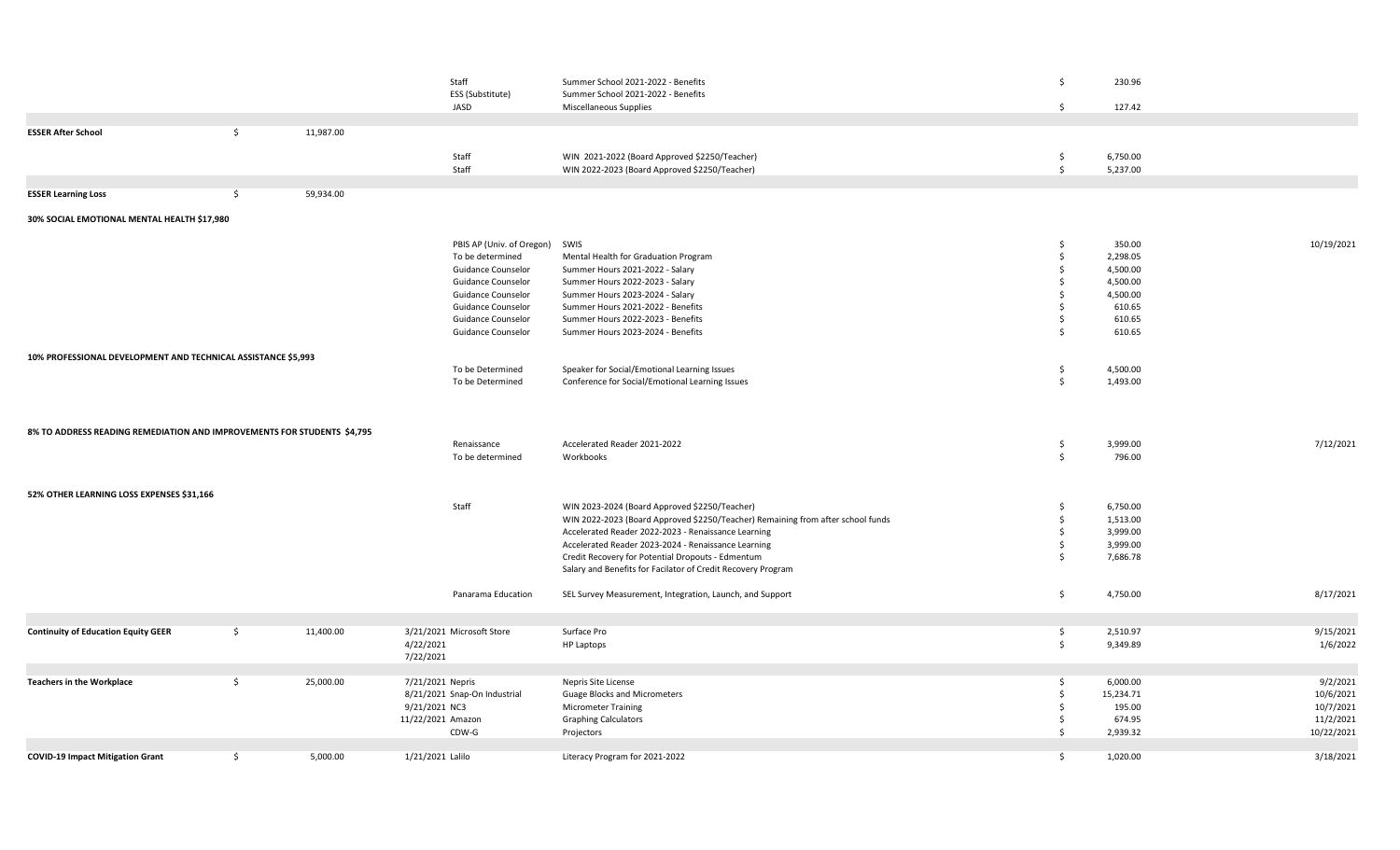|                                                                         |                     |           | Staff                          |                                                                                 | Ŝ.                  |           |            |
|-------------------------------------------------------------------------|---------------------|-----------|--------------------------------|---------------------------------------------------------------------------------|---------------------|-----------|------------|
|                                                                         |                     |           |                                | Summer School 2021-2022 - Benefits                                              |                     | 230.96    |            |
|                                                                         |                     |           | ESS (Substitute)               | Summer School 2021-2022 - Benefits                                              |                     |           |            |
|                                                                         |                     |           | JASD                           | Miscellaneous Supplies                                                          | $\frac{1}{2}$       | 127.42    |            |
| <b>ESSER After School</b>                                               | $\ddot{\mathsf{S}}$ | 11,987.00 |                                |                                                                                 |                     |           |            |
|                                                                         |                     |           |                                |                                                                                 |                     |           |            |
|                                                                         |                     |           | Staff                          | WIN 2021-2022 (Board Approved \$2250/Teacher)                                   | \$                  | 6,750.00  |            |
|                                                                         |                     |           | Staff                          | WIN 2022-2023 (Board Approved \$2250/Teacher)                                   | $\ddot{\mathsf{S}}$ | 5,237.00  |            |
|                                                                         |                     |           |                                |                                                                                 |                     |           |            |
| <b>ESSER Learning Loss</b>                                              | $\ddot{\varsigma}$  | 59,934.00 |                                |                                                                                 |                     |           |            |
|                                                                         |                     |           |                                |                                                                                 |                     |           |            |
| 30% SOCIAL EMOTIONAL MENTAL HEALTH \$17,980                             |                     |           |                                |                                                                                 |                     |           |            |
|                                                                         |                     |           |                                |                                                                                 |                     |           |            |
|                                                                         |                     |           | PBIS AP (Univ. of Oregon) SWIS |                                                                                 | \$                  | 350.00    | 10/19/2021 |
|                                                                         |                     |           | To be determined               | Mental Health for Graduation Program                                            | \$                  | 2,298.05  |            |
|                                                                         |                     |           | <b>Guidance Counselor</b>      | Summer Hours 2021-2022 - Salary                                                 | \$                  | 4,500.00  |            |
|                                                                         |                     |           | Guidance Counselor             | Summer Hours 2022-2023 - Salary                                                 | \$                  | 4,500.00  |            |
|                                                                         |                     |           | Guidance Counselor             | Summer Hours 2023-2024 - Salary                                                 | Ŝ.                  | 4,500.00  |            |
|                                                                         |                     |           | Guidance Counselor             | Summer Hours 2021-2022 - Benefits                                               | Ŝ.                  | 610.65    |            |
|                                                                         |                     |           | Guidance Counselor             | Summer Hours 2022-2023 - Benefits                                               | Ŝ.                  | 610.65    |            |
|                                                                         |                     |           | <b>Guidance Counselor</b>      | Summer Hours 2023-2024 - Benefits                                               | Ŝ.                  | 610.65    |            |
|                                                                         |                     |           |                                |                                                                                 |                     |           |            |
| 10% PROFESSIONAL DEVELOPMENT AND TECHNICAL ASSISTANCE \$5,993           |                     |           |                                |                                                                                 |                     |           |            |
|                                                                         |                     |           |                                |                                                                                 |                     |           |            |
|                                                                         |                     |           | To be Determined               | Speaker for Social/Emotional Learning Issues                                    | \$                  | 4,500.00  |            |
|                                                                         |                     |           | To be Determined               | Conference for Social/Emotional Learning Issues                                 | \$                  | 1,493.00  |            |
|                                                                         |                     |           |                                |                                                                                 |                     |           |            |
|                                                                         |                     |           |                                |                                                                                 |                     |           |            |
|                                                                         |                     |           |                                |                                                                                 |                     |           |            |
| 8% TO ADDRESS READING REMEDIATION AND IMPROVEMENTS FOR STUDENTS \$4,795 |                     |           |                                |                                                                                 |                     |           |            |
|                                                                         |                     |           | Renaissance                    | Accelerated Reader 2021-2022                                                    | \$                  | 3,999.00  | 7/12/2021  |
|                                                                         |                     |           | To be determined               | Workbooks                                                                       | \$                  | 796.00    |            |
|                                                                         |                     |           |                                |                                                                                 |                     |           |            |
|                                                                         |                     |           |                                |                                                                                 |                     |           |            |
| 52% OTHER LEARNING LOSS EXPENSES \$31,166                               |                     |           |                                |                                                                                 |                     |           |            |
|                                                                         |                     |           | Staff                          | WIN 2023-2024 (Board Approved \$2250/Teacher)                                   | \$                  | 6,750.00  |            |
|                                                                         |                     |           |                                | WIN 2022-2023 (Board Approved \$2250/Teacher) Remaining from after school funds | \$                  | 1,513.00  |            |
|                                                                         |                     |           |                                | Accelerated Reader 2022-2023 - Renaissance Learning                             | \$                  | 3,999.00  |            |
|                                                                         |                     |           |                                | Accelerated Reader 2023-2024 - Renaissance Learning                             | \$                  | 3,999.00  |            |
|                                                                         |                     |           |                                | Credit Recovery for Potential Dropouts - Edmentum                               | Ŝ.                  | 7,686.78  |            |
|                                                                         |                     |           |                                | Salary and Benefits for Facilator of Credit Recovery Program                    |                     |           |            |
|                                                                         |                     |           |                                |                                                                                 |                     |           |            |
|                                                                         |                     |           | Panarama Education             | SEL Survey Measurement, Integration, Launch, and Support                        | \$                  | 4,750.00  | 8/17/2021  |
|                                                                         |                     |           |                                |                                                                                 |                     |           |            |
|                                                                         |                     |           |                                |                                                                                 |                     |           |            |
| <b>Continuity of Education Equity GEER</b>                              | \$                  | 11,400.00 | 3/21/2021 Microsoft Store      | Surface Pro                                                                     | \$                  | 2,510.97  | 9/15/2021  |
|                                                                         |                     |           | 4/22/2021                      | <b>HP Laptops</b>                                                               | \$                  | 9,349.89  | 1/6/2022   |
|                                                                         |                     |           | 7/22/2021                      |                                                                                 |                     |           |            |
|                                                                         |                     |           |                                |                                                                                 |                     |           |            |
| <b>Teachers in the Workplace</b>                                        | \$                  | 25,000.00 | 7/21/2021 Nepris               | Nepris Site License                                                             | \$                  | 6,000.00  | 9/2/2021   |
|                                                                         |                     |           |                                |                                                                                 | \$                  |           |            |
|                                                                         |                     |           | 8/21/2021 Snap-On Industrial   | <b>Guage Blocks and Micrometers</b>                                             |                     | 15,234.71 | 10/6/2021  |
|                                                                         |                     |           | 9/21/2021 NC3                  | <b>Micrometer Training</b>                                                      | \$                  | 195.00    | 10/7/2021  |
|                                                                         |                     |           | 11/22/2021 Amazon              | <b>Graphing Calculators</b>                                                     | \$                  | 674.95    | 11/2/2021  |
|                                                                         |                     |           | $CDW-G$                        | Projectors                                                                      | \$                  | 2,939.32  | 10/22/2021 |
|                                                                         |                     |           |                                |                                                                                 |                     |           |            |
| <b>COVID-19 Impact Mitigation Grant</b>                                 | \$                  | 5,000.00  | 1/21/2021 Lalilo               | Literacy Program for 2021-2022                                                  | S.                  | 1,020.00  | 3/18/2021  |